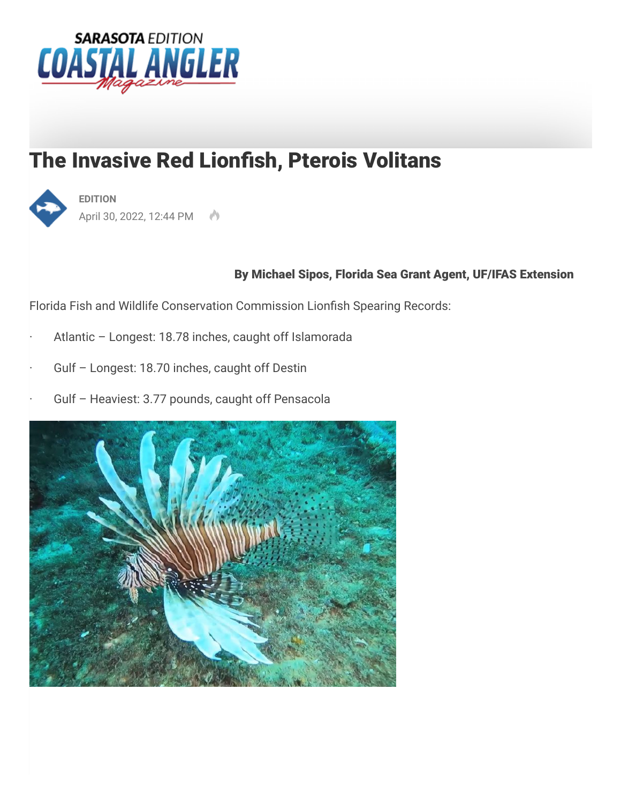

## The Invasive Red Lionfish, Pterois Volitans



April 30, 2022, 12:44 PM

## By Michael Sipos, Florida Sea Grant Agent, UF/IFAS Extension

Florida Fish and Wildlife Conservation Commission Lionfish Spearing Records:

- Atlantic Longest: 18.78 inches, caught off Islamorada
- Gulf Longest: 18.70 inches, caught off Destin
- Gulf Heaviest: 3.77 pounds, caught off Pensacola

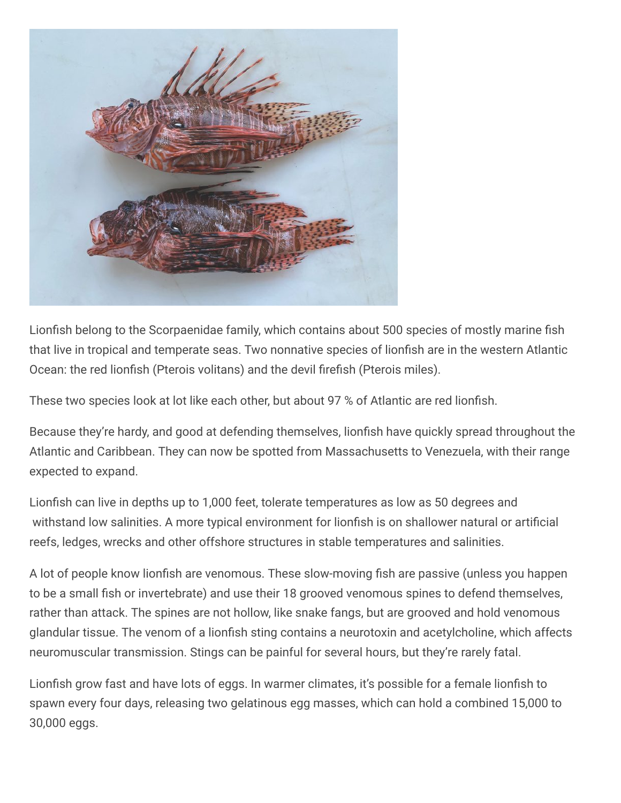

Lionfish belong to the Scorpaenidae family, which contains about 500 species of mostly marine fish that live in tropical and temperate seas. Two nonnative species of lionfish are in the western Atlantic Ocean: the red lionfish (Pterois volitans) and the devil firefish (Pterois miles).

These two species look at lot like each other, but about 97 % of Atlantic are red lionfish.

Because they're hardy, and good at defending themselves, lionfish have quickly spread throughout the Atlantic and Caribbean. They can now be spotted from Massachusetts to Venezuela, with their range expected to expand.

Lionfish can live in depths up to 1,000 feet, tolerate temperatures as low as 50 degrees and withstand low salinities. A more typical environment for lionfish is on shallower natural or artificial reefs, ledges, wrecks and other offshore structures in stable temperatures and salinities.

A lot of people know lionfish are venomous. These slow-moving fish are passive (unless you happen to be a small fish or invertebrate) and use their 18 grooved venomous spines to defend themselves, rather than attack. The spines are not hollow, like snake fangs, but are grooved and hold venomous glandular tissue. The venom of a lionfish sting contains a neurotoxin and acetylcholine, which affects neuromuscular transmission. Stings can be painful for several hours, but they're rarely fatal.

Lionfish grow fast and have lots of eggs. In warmer climates, it's possible for a female lionfish to spawn every four days, releasing two gelatinous egg masses, which can hold a combined 15,000 to 30,000 eggs.